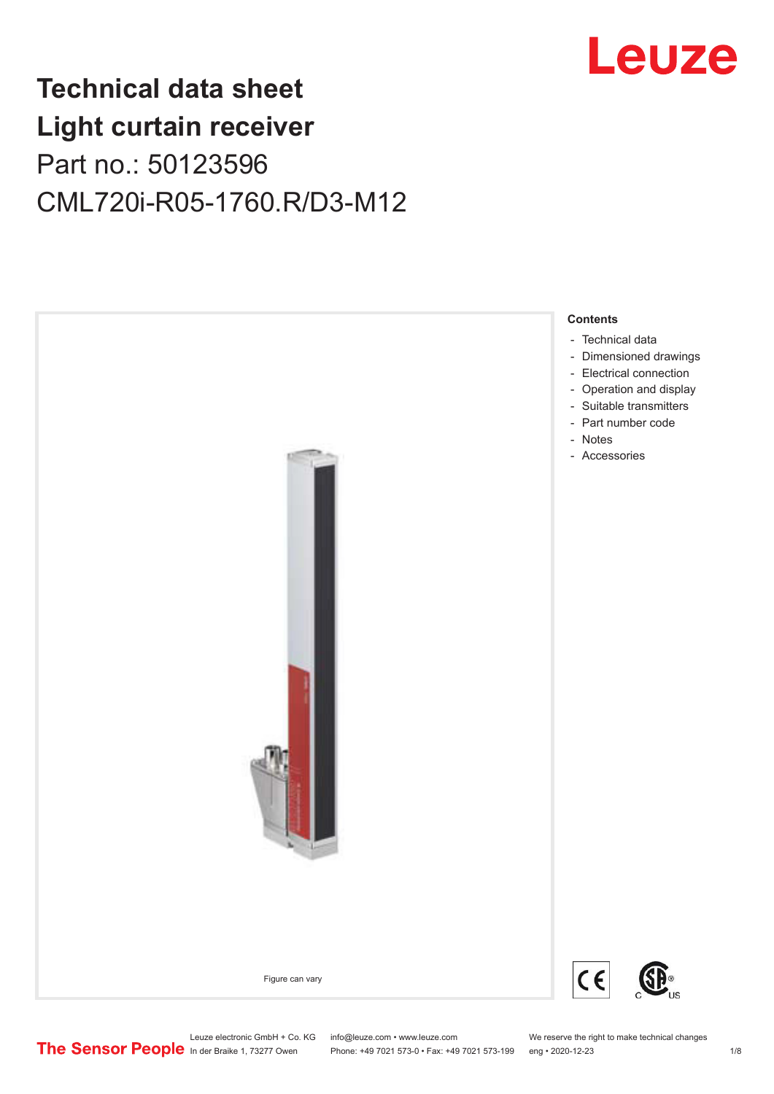## Leuze

## **Technical data sheet Light curtain receiver** Part no.: 50123596 CML720i-R05-1760.R/D3-M12



Leuze electronic GmbH + Co. KG info@leuze.com • www.leuze.com We reserve the right to make technical changes<br>
The Sensor People in der Braike 1, 73277 Owen Phone: +49 7021 573-0 • Fax: +49 7021 573-199 eng • 2020-12-23 Phone: +49 7021 573-0 • Fax: +49 7021 573-199 eng • 2020-12-23 1 /8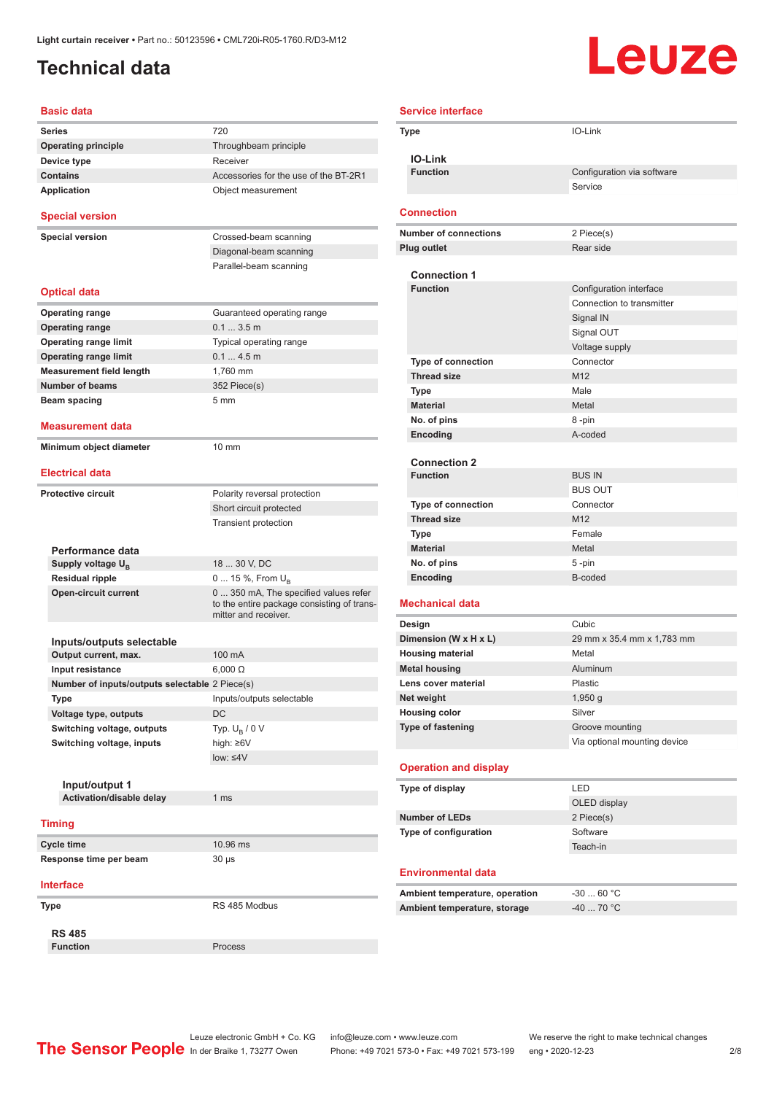### <span id="page-1-0"></span>**Technical data**

# Leuze

| <b>Basic data</b>                                 |                                                                                                             |
|---------------------------------------------------|-------------------------------------------------------------------------------------------------------------|
| <b>Series</b>                                     | 720                                                                                                         |
| <b>Operating principle</b>                        | Throughbeam principle                                                                                       |
| Device type                                       | Receiver                                                                                                    |
| <b>Contains</b>                                   | Accessories for the use of the BT-2R1                                                                       |
| Application                                       | Object measurement                                                                                          |
| <b>Special version</b>                            |                                                                                                             |
| <b>Special version</b>                            | Crossed-beam scanning                                                                                       |
|                                                   | Diagonal-beam scanning                                                                                      |
|                                                   | Parallel-beam scanning                                                                                      |
| <b>Optical data</b>                               |                                                                                                             |
| <b>Operating range</b>                            | Guaranteed operating range                                                                                  |
| <b>Operating range</b>                            | 0.13.5m                                                                                                     |
| <b>Operating range limit</b>                      | Typical operating range                                                                                     |
| <b>Operating range limit</b>                      | 0.14.5m                                                                                                     |
| <b>Measurement field length</b>                   | 1.760 mm                                                                                                    |
| <b>Number of beams</b>                            | 352 Piece(s)                                                                                                |
| Beam spacing                                      | 5 <sub>mm</sub>                                                                                             |
|                                                   |                                                                                                             |
| <b>Measurement data</b>                           |                                                                                                             |
| Minimum object diameter                           | 10 mm                                                                                                       |
| <b>Electrical data</b>                            |                                                                                                             |
| <b>Protective circuit</b>                         | Polarity reversal protection                                                                                |
|                                                   | Short circuit protected                                                                                     |
|                                                   | <b>Transient protection</b>                                                                                 |
|                                                   |                                                                                                             |
| Performance data                                  |                                                                                                             |
| Supply voltage U <sub>R</sub>                     | 18  30 V, DC                                                                                                |
| <b>Residual ripple</b>                            | 0  15 %, From $U_{\rm B}$                                                                                   |
| <b>Open-circuit current</b>                       | 0  350 mA, The specified values refer<br>to the entire package consisting of trans-<br>mitter and receiver. |
|                                                   |                                                                                                             |
| Inputs/outputs selectable<br>Output current, max. | 100 mA                                                                                                      |
| Input resistance                                  | $6,000 \Omega$                                                                                              |
| Number of inputs/outputs selectable 2 Piece(s)    |                                                                                                             |
| Type                                              | Inputs/outputs selectable                                                                                   |
| Voltage type, outputs                             | <b>DC</b>                                                                                                   |
|                                                   |                                                                                                             |
| Switching voltage, outputs                        | Typ. $U_R / 0 V$                                                                                            |
| Switching voltage, inputs                         | high: ≥6V<br>low: < 4V                                                                                      |
|                                                   |                                                                                                             |
|                                                   |                                                                                                             |
| Input/output 1<br>Activation/disable delay        | 1 ms                                                                                                        |
|                                                   |                                                                                                             |
| <b>Timing</b>                                     |                                                                                                             |
| Cycle time                                        | 10.96 ms                                                                                                    |
| Response time per beam                            | 30 µs                                                                                                       |
| <b>Interface</b>                                  |                                                                                                             |
| Type                                              | RS 485 Modbus                                                                                               |
|                                                   |                                                                                                             |
| <b>RS 485</b>                                     |                                                                                                             |
| <b>Function</b>                                   | Process                                                                                                     |

| <b>Service interface</b>               |                                                      |
|----------------------------------------|------------------------------------------------------|
| Type                                   | IO-Link                                              |
|                                        |                                                      |
| <b>IO-Link</b>                         |                                                      |
| <b>Function</b>                        | Configuration via software                           |
|                                        | Service                                              |
| <b>Connection</b>                      |                                                      |
| <b>Number of connections</b>           | 2 Piece(s)                                           |
| <b>Plug outlet</b>                     | Rear side                                            |
|                                        |                                                      |
| <b>Connection 1</b><br><b>Function</b> |                                                      |
|                                        | Configuration interface<br>Connection to transmitter |
|                                        | Signal IN                                            |
|                                        | Signal OUT                                           |
|                                        | Voltage supply                                       |
| Type of connection                     | Connector                                            |
| <b>Thread size</b>                     | M <sub>12</sub>                                      |
| Type                                   | Male                                                 |
| <b>Material</b>                        | Metal                                                |
| No. of pins                            | 8-pin                                                |
| Encoding                               | A-coded                                              |
|                                        |                                                      |
| <b>Connection 2</b><br><b>Function</b> | <b>BUS IN</b>                                        |
|                                        | <b>BUS OUT</b>                                       |
| <b>Type of connection</b>              | Connector                                            |
| <b>Thread size</b>                     | M12                                                  |
| Type                                   | Female                                               |
| <b>Material</b>                        | Metal                                                |
| No. of pins                            | 5-pin                                                |
| Encoding                               | B-coded                                              |
| <b>Mechanical data</b>                 |                                                      |
| Design                                 | Cubic                                                |
| Dimension (W x H x L)                  | 29 mm x 35.4 mm x 1,783 mm                           |
| <b>Housing material</b>                | Metal                                                |
| <b>Metal housing</b>                   | Aluminum                                             |
| Lens cover material                    | Plastic                                              |
| Net weight                             | 1,950 g                                              |
| <b>Housing color</b>                   | Silver                                               |
| Type of fastening                      | Groove mounting                                      |
|                                        | Via optional mounting device                         |
| <b>Operation and display</b>           |                                                      |
| Type of display                        | LED                                                  |
|                                        | OLED display                                         |
| <b>Number of LEDs</b>                  | 2 Piece(s)                                           |
| Type of configuration                  | Software                                             |
|                                        | Teach-in                                             |
| <b>Environmental data</b>              |                                                      |
| Ambient temperature, operation         | $-3060 °C$                                           |
| Ambient temperature, storage           | $-40$ 70 °C                                          |
|                                        |                                                      |
|                                        |                                                      |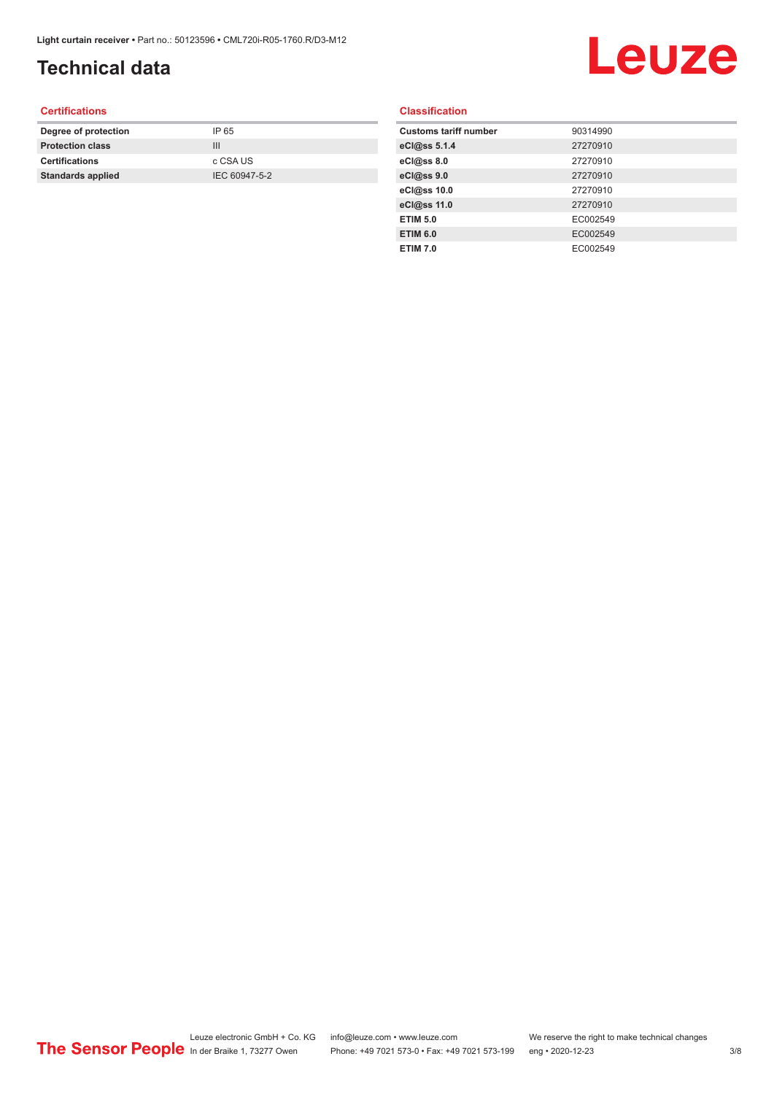### **Technical data**

## Leuze

#### **Certifications**

| Degree of protection     | IP 65         |
|--------------------------|---------------|
| <b>Protection class</b>  | Ш             |
| <b>Certifications</b>    | c CSA US      |
| <b>Standards applied</b> | IEC 60947-5-2 |
|                          |               |

#### **Classification**

| <b>Customs tariff number</b> | 90314990 |
|------------------------------|----------|
| eCl@ss 5.1.4                 | 27270910 |
| eCl@ss 8.0                   | 27270910 |
| eCl@ss 9.0                   | 27270910 |
| eCl@ss 10.0                  | 27270910 |
| eCl@ss 11.0                  | 27270910 |
| <b>ETIM 5.0</b>              | EC002549 |
| <b>ETIM 6.0</b>              | EC002549 |
| <b>ETIM 7.0</b>              | EC002549 |
|                              |          |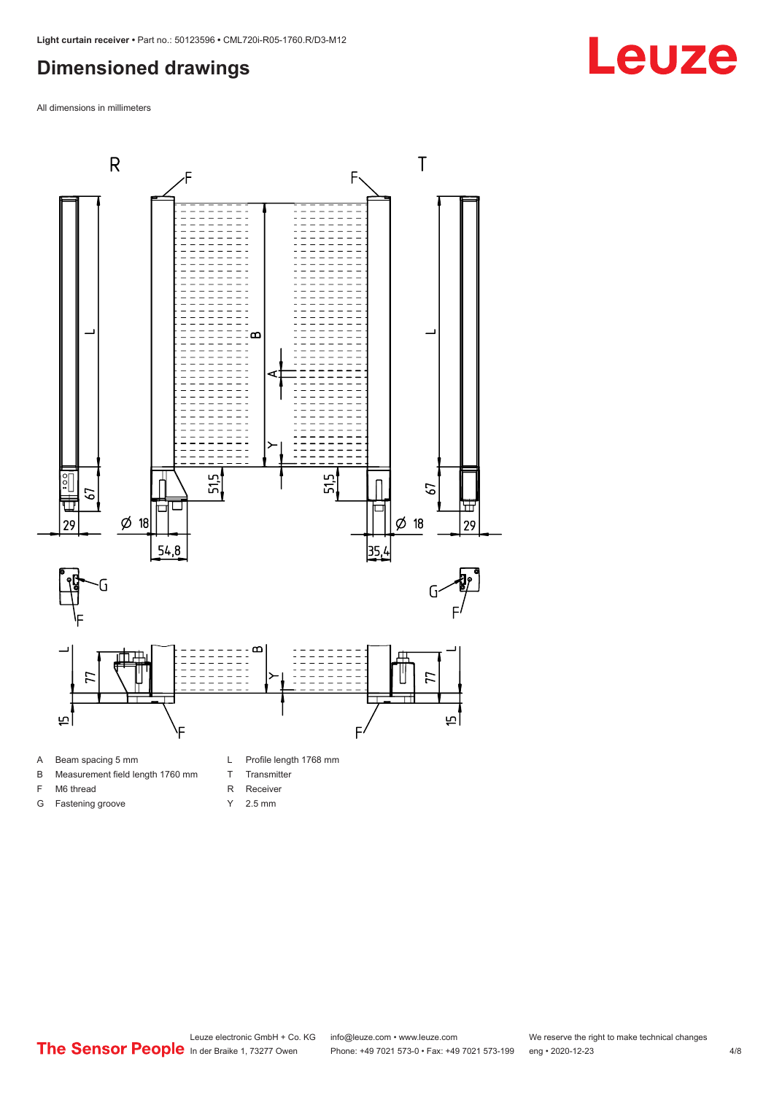#### <span id="page-3-0"></span>**Dimensioned drawings**

All dimensions in millimeters



A Beam spacing 5 mm

G Fastening groove

- B Measurement field length 1760 mm
- F M6 thread
- R Receiver
	- Y 2.5 mm

T Transmitter



**Leuze**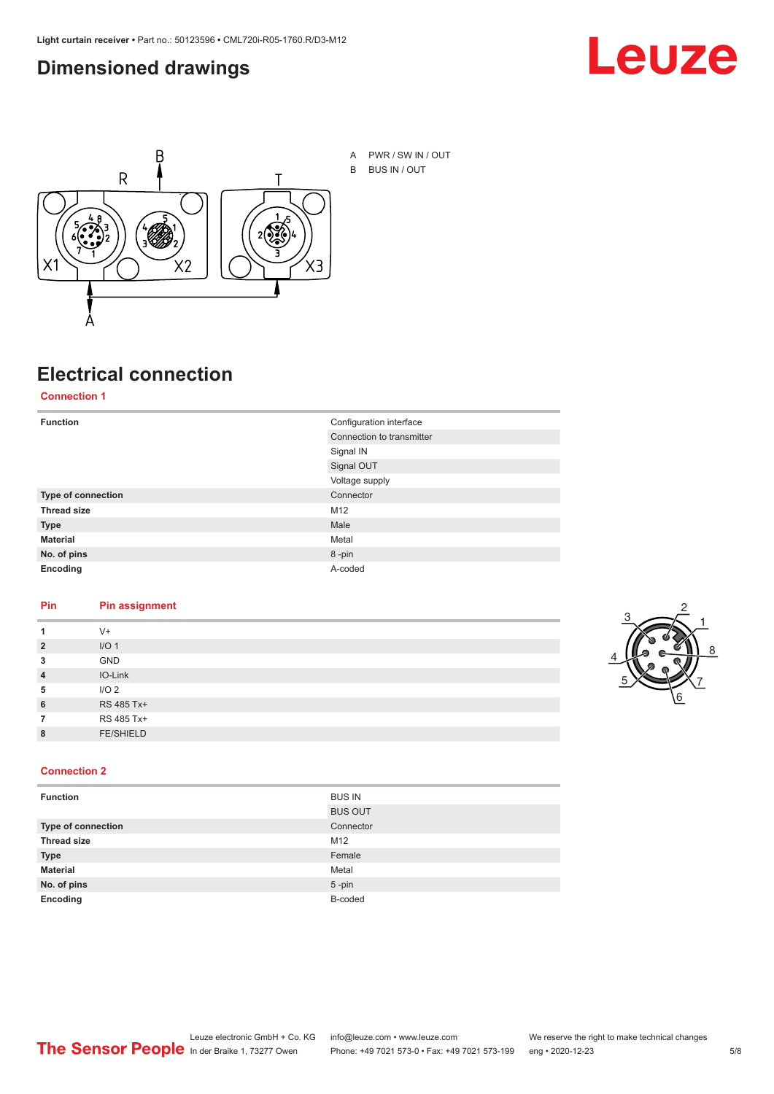#### <span id="page-4-0"></span>**Dimensioned drawings**





## **Electrical connection**

**Connection 1**

| <b>Function</b>    | Configuration interface   |  |
|--------------------|---------------------------|--|
|                    | Connection to transmitter |  |
|                    | Signal IN                 |  |
|                    | Signal OUT                |  |
|                    | Voltage supply            |  |
| Type of connection | Connector                 |  |
| <b>Thread size</b> | M12                       |  |
| <b>Type</b>        | Male                      |  |
| <b>Material</b>    | Metal                     |  |
| No. of pins        | 8-pin                     |  |
| Encoding           | A-coded                   |  |

#### **Pin Pin assignment**

|                | $V +$            |  |  |
|----------------|------------------|--|--|
| $\overline{2}$ | I/O <sub>1</sub> |  |  |
| 3              | <b>GND</b>       |  |  |
| $\overline{4}$ | IO-Link          |  |  |
| 5              | I/O <sub>2</sub> |  |  |
| 6              | RS 485 Tx+       |  |  |
|                | RS 485 Tx+       |  |  |
| 8              | <b>FE/SHIELD</b> |  |  |
|                |                  |  |  |



#### **Connection 2**

| <b>Function</b>    | <b>BUS IN</b>  |
|--------------------|----------------|
|                    | <b>BUS OUT</b> |
| Type of connection | Connector      |
| <b>Thread size</b> | M12            |
| <b>Type</b>        | Female         |
| <b>Material</b>    | Metal          |
| No. of pins        | $5$ -pin       |
| Encoding           | B-coded        |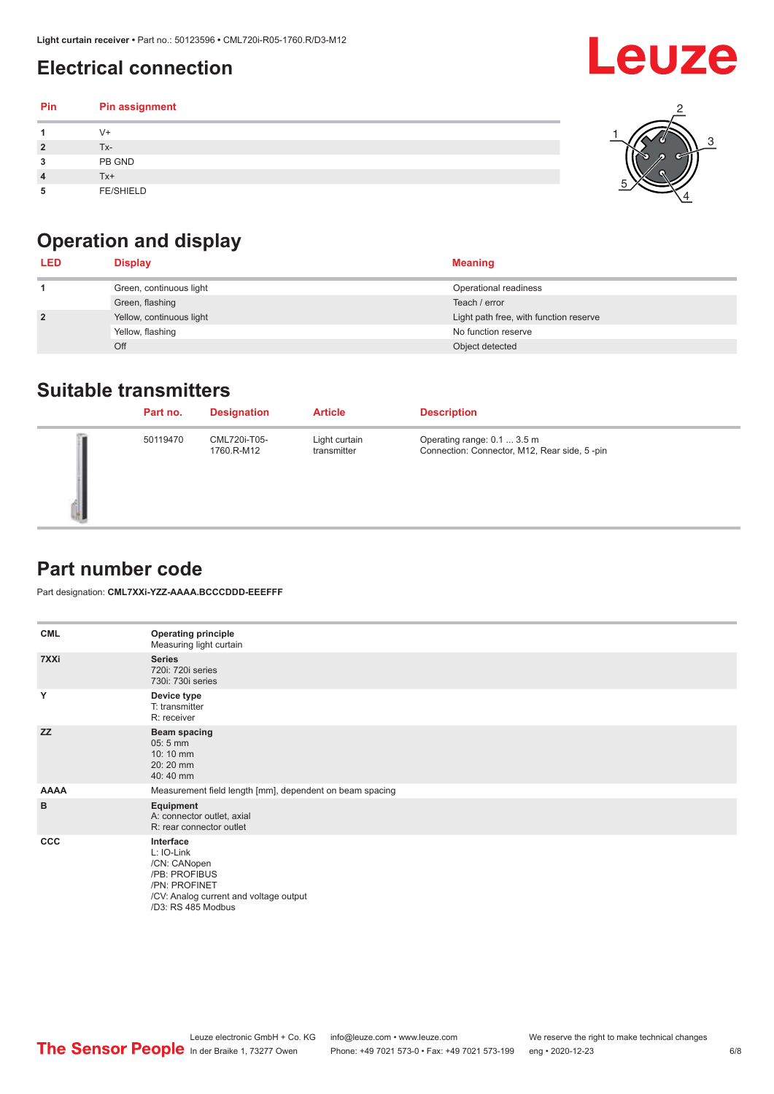### <span id="page-5-0"></span>**Electrical connection**

| Pin | Pin assignment   |  |
|-----|------------------|--|
|     | $V +$            |  |
| 2   | Tx-              |  |
| 3   | PB GND           |  |
|     | Tx+              |  |
| 5   | <b>FE/SHIELD</b> |  |

### **Operation and display**

| <b>LED</b>     | <b>Display</b>           | <b>Meaning</b>                         |
|----------------|--------------------------|----------------------------------------|
|                | Green, continuous light  | Operational readiness                  |
|                | Green, flashing          | Teach / error                          |
| $\overline{2}$ | Yellow, continuous light | Light path free, with function reserve |
|                | Yellow, flashing         | No function reserve                    |
|                | Off                      | Object detected                        |

#### **Suitable transmitters**

| Part no. | <b>Designation</b>         | <b>Article</b>               | <b>Description</b>                                                          |
|----------|----------------------------|------------------------------|-----------------------------------------------------------------------------|
| 50119470 | CML720i-T05-<br>1760.R-M12 | Light curtain<br>transmitter | Operating range: 0.1  3.5 m<br>Connection: Connector, M12, Rear side, 5-pin |

#### **Part number code**

Part designation: **CML7XXi-YZZ-AAAA.BCCCDDD-EEEFFF**

| <b>CML</b>  | <b>Operating principle</b><br>Measuring light curtain                                                                                     |
|-------------|-------------------------------------------------------------------------------------------------------------------------------------------|
| 7XXi        | <b>Series</b><br>720i: 720i series<br>730i: 730i series                                                                                   |
| Y           | Device type<br>T: transmitter<br>R: receiver                                                                                              |
| <b>ZZ</b>   | <b>Beam spacing</b><br>$05:5$ mm<br>10:10 mm<br>20:20 mm<br>40:40 mm                                                                      |
| <b>AAAA</b> | Measurement field length [mm], dependent on beam spacing                                                                                  |
| B           | Equipment<br>A: connector outlet, axial<br>R: rear connector outlet                                                                       |
| <b>CCC</b>  | Interface<br>L: IO-Link<br>/CN: CANopen<br>/PB: PROFIBUS<br>/PN: PROFINET<br>/CV: Analog current and voltage output<br>/D3: RS 485 Modbus |

**Leuze**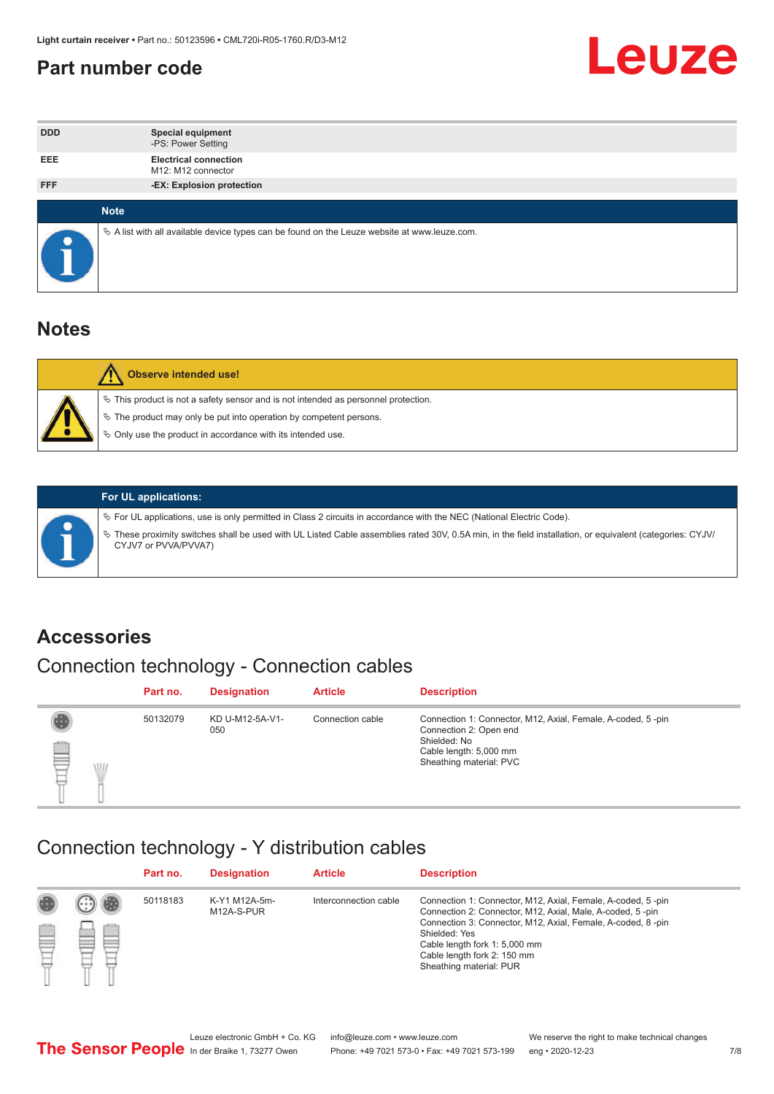#### <span id="page-6-0"></span>**Part number code**



| <b>DDD</b> | <b>Special equipment</b><br>-PS: Power Setting                                                  |
|------------|-------------------------------------------------------------------------------------------------|
| <b>EEE</b> | <b>Electrical connection</b><br>M12: M12 connector                                              |
| <b>FFF</b> | -EX: Explosion protection                                                                       |
|            |                                                                                                 |
|            | <b>Note</b>                                                                                     |
|            | $\&$ A list with all available device types can be found on the Leuze website at www.leuze.com. |

#### **Notes**

| Observe intended use!                                                                                                                                                                                                            |
|----------------------------------------------------------------------------------------------------------------------------------------------------------------------------------------------------------------------------------|
| $\%$ This product is not a safety sensor and is not intended as personnel protection.<br>$\%$ The product may only be put into operation by competent persons.<br>$\%$ Only use the product in accordance with its intended use. |
|                                                                                                                                                                                                                                  |



#### **For UL applications:**

ª For UL applications, use is only permitted in Class 2 circuits in accordance with the NEC (National Electric Code). ª These proximity switches shall be used with UL Listed Cable assemblies rated 30V, 0.5A min, in the field installation, or equivalent (categories: CYJV/ CYJV7 or PVVA/PVVA7)

#### **Accessories**

### Connection technology - Connection cables

|        | Part no. | <b>Designation</b>     | <b>Article</b>   | <b>Description</b>                                                                                                                                         |
|--------|----------|------------------------|------------------|------------------------------------------------------------------------------------------------------------------------------------------------------------|
| 2<br>W | 50132079 | KD U-M12-5A-V1-<br>050 | Connection cable | Connection 1: Connector, M12, Axial, Female, A-coded, 5-pin<br>Connection 2: Open end<br>Shielded: No<br>Cable length: 5,000 mm<br>Sheathing material: PVC |

#### Connection technology - Y distribution cables

|             |   | Part no. | <b>Designation</b>          | <b>Article</b>        | <b>Description</b>                                                                                                                                                                                                                                                                                  |
|-------------|---|----------|-----------------------------|-----------------------|-----------------------------------------------------------------------------------------------------------------------------------------------------------------------------------------------------------------------------------------------------------------------------------------------------|
| 圔<br>⋿<br>٣ | ø | 50118183 | K-Y1 M12A-5m-<br>M12A-S-PUR | Interconnection cable | Connection 1: Connector, M12, Axial, Female, A-coded, 5-pin<br>Connection 2: Connector, M12, Axial, Male, A-coded, 5-pin<br>Connection 3: Connector, M12, Axial, Female, A-coded, 8-pin<br>Shielded: Yes<br>Cable length fork 1: 5,000 mm<br>Cable length fork 2: 150 mm<br>Sheathing material: PUR |